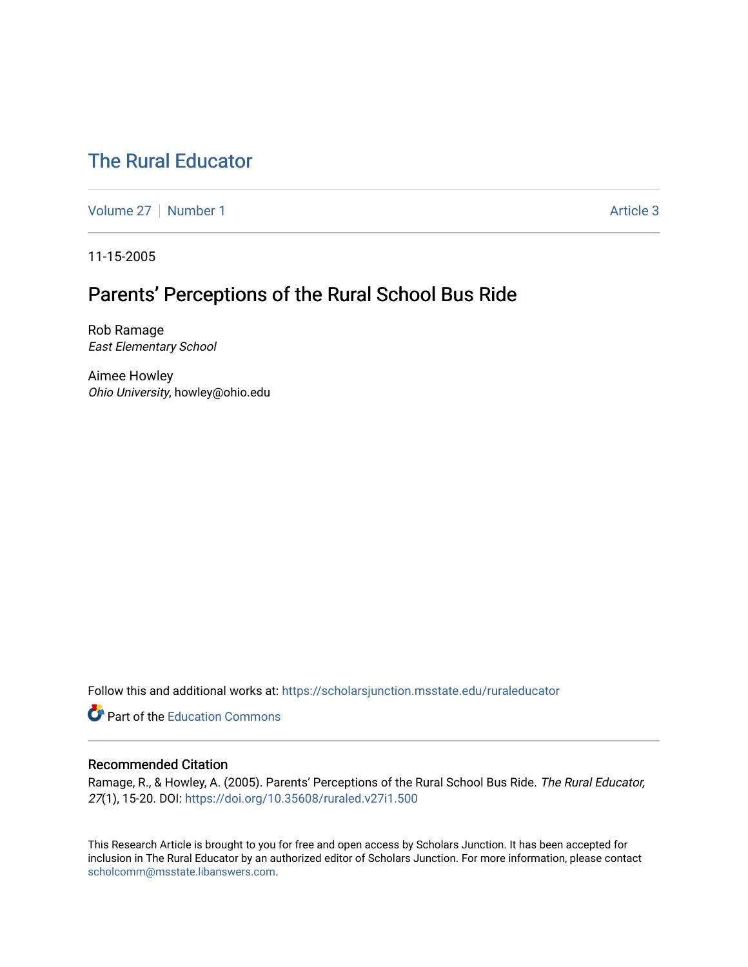# [The Rural Educator](https://scholarsjunction.msstate.edu/ruraleducator)

[Volume 27](https://scholarsjunction.msstate.edu/ruraleducator/vol27) | [Number 1](https://scholarsjunction.msstate.edu/ruraleducator/vol27/iss1) Article 3

11-15-2005

# Parents' Perceptions of the Rural School Bus Ride

Rob Ramage East Elementary School

Aimee Howley Ohio University, howley@ohio.edu

Follow this and additional works at: [https://scholarsjunction.msstate.edu/ruraleducator](https://scholarsjunction.msstate.edu/ruraleducator?utm_source=scholarsjunction.msstate.edu%2Fruraleducator%2Fvol27%2Fiss1%2F3&utm_medium=PDF&utm_campaign=PDFCoverPages)

**C** Part of the [Education Commons](http://network.bepress.com/hgg/discipline/784?utm_source=scholarsjunction.msstate.edu%2Fruraleducator%2Fvol27%2Fiss1%2F3&utm_medium=PDF&utm_campaign=PDFCoverPages)

### Recommended Citation

Ramage, R., & Howley, A. (2005). Parents' Perceptions of the Rural School Bus Ride. The Rural Educator, 27(1), 15-20. DOI: <https://doi.org/10.35608/ruraled.v27i1.500>

This Research Article is brought to you for free and open access by Scholars Junction. It has been accepted for inclusion in The Rural Educator by an authorized editor of Scholars Junction. For more information, please contact [scholcomm@msstate.libanswers.com.](mailto:scholcomm@msstate.libanswers.com)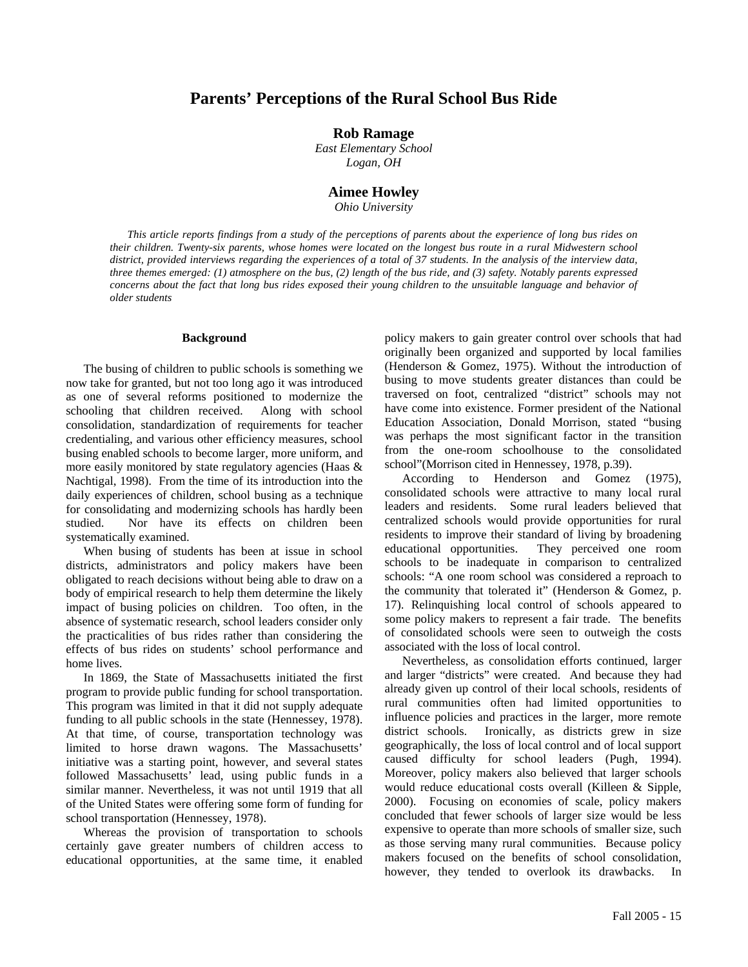## **Parents' Perceptions of the Rural School Bus Ride**

### **Rob Ramage**

*East Elementary School Logan, OH* 

#### **Aimee Howley**

*Ohio University* 

*This article reports findings from a study of the perceptions of parents about the experience of long bus rides on their children. Twenty-six parents, whose homes were located on the longest bus route in a rural Midwestern school district, provided interviews regarding the experiences of a total of 37 students. In the analysis of the interview data, three themes emerged: (1) atmosphere on the bus, (2) length of the bus ride, and (3) safety. Notably parents expressed*  concerns about the fact that long bus rides exposed their young children to the unsuitable language and behavior of *older students* 

#### **Background**

The busing of children to public schools is something we now take for granted, but not too long ago it was introduced as one of several reforms positioned to modernize the schooling that children received. Along with school consolidation, standardization of requirements for teacher credentialing, and various other efficiency measures, school busing enabled schools to become larger, more uniform, and more easily monitored by state regulatory agencies (Haas & Nachtigal, 1998). From the time of its introduction into the daily experiences of children, school busing as a technique for consolidating and modernizing schools has hardly been studied. Nor have its effects on children been systematically examined.

When busing of students has been at issue in school districts, administrators and policy makers have been obligated to reach decisions without being able to draw on a body of empirical research to help them determine the likely impact of busing policies on children. Too often, in the absence of systematic research, school leaders consider only the practicalities of bus rides rather than considering the effects of bus rides on students' school performance and home lives.

In 1869, the State of Massachusetts initiated the first program to provide public funding for school transportation. This program was limited in that it did not supply adequate funding to all public schools in the state (Hennessey, 1978). At that time, of course, transportation technology was limited to horse drawn wagons. The Massachusetts' initiative was a starting point, however, and several states followed Massachusetts' lead, using public funds in a similar manner. Nevertheless, it was not until 1919 that all of the United States were offering some form of funding for school transportation (Hennessey, 1978).

Whereas the provision of transportation to schools certainly gave greater numbers of children access to educational opportunities, at the same time, it enabled policy makers to gain greater control over schools that had originally been organized and supported by local families (Henderson & Gomez, 1975). Without the introduction of busing to move students greater distances than could be traversed on foot, centralized "district" schools may not have come into existence. Former president of the National Education Association, Donald Morrison, stated "busing was perhaps the most significant factor in the transition from the one-room schoolhouse to the consolidated school"(Morrison cited in Hennessey, 1978, p.39).

According to Henderson and Gomez (1975), consolidated schools were attractive to many local rural leaders and residents. Some rural leaders believed that centralized schools would provide opportunities for rural residents to improve their standard of living by broadening educational opportunities. They perceived one room schools to be inadequate in comparison to centralized schools: "A one room school was considered a reproach to the community that tolerated it" (Henderson & Gomez, p. 17). Relinquishing local control of schools appeared to some policy makers to represent a fair trade. The benefits of consolidated schools were seen to outweigh the costs associated with the loss of local control.

Nevertheless, as consolidation efforts continued, larger and larger "districts" were created. And because they had already given up control of their local schools, residents of rural communities often had limited opportunities to influence policies and practices in the larger, more remote district schools. Ironically, as districts grew in size geographically, the loss of local control and of local support caused difficulty for school leaders (Pugh, 1994). Moreover, policy makers also believed that larger schools would reduce educational costs overall (Killeen & Sipple, 2000). Focusing on economies of scale, policy makers concluded that fewer schools of larger size would be less expensive to operate than more schools of smaller size, such as those serving many rural communities. Because policy makers focused on the benefits of school consolidation, however, they tended to overlook its drawbacks. In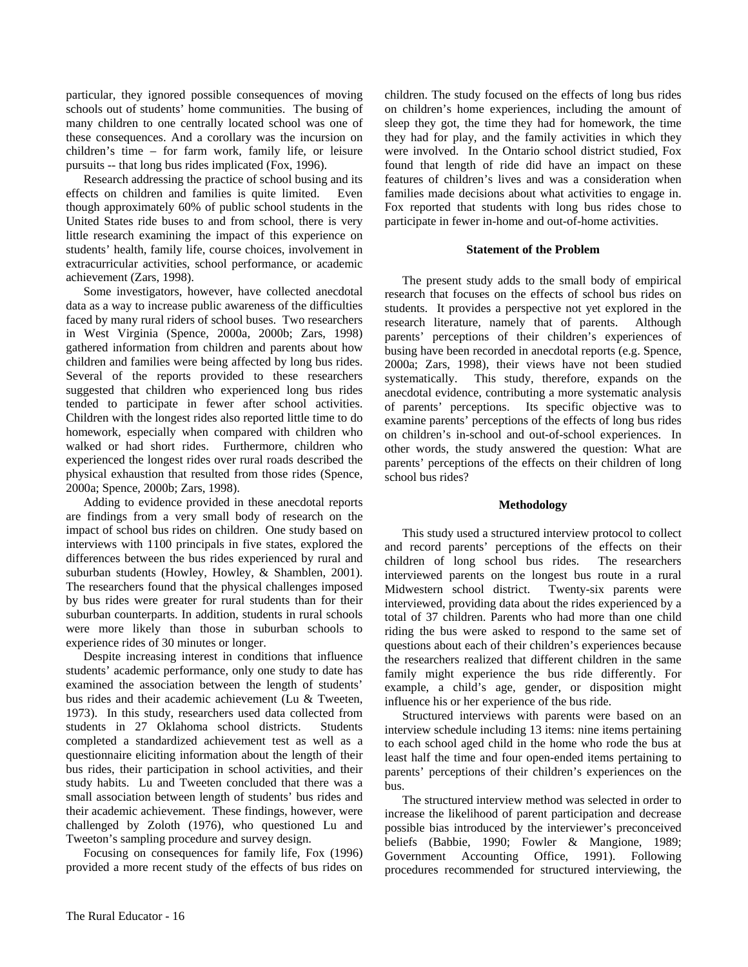particular, they ignored possible consequences of moving schools out of students' home communities. The busing of many children to one centrally located school was one of these consequences. And a corollary was the incursion on children's time – for farm work, family life, or leisure pursuits -- that long bus rides implicated (Fox, 1996).

Research addressing the practice of school busing and its effects on children and families is quite limited. Even though approximately 60% of public school students in the United States ride buses to and from school, there is very little research examining the impact of this experience on students' health, family life, course choices, involvement in extracurricular activities, school performance, or academic achievement (Zars, 1998).

Some investigators, however, have collected anecdotal data as a way to increase public awareness of the difficulties faced by many rural riders of school buses. Two researchers in West Virginia (Spence, 2000a, 2000b; Zars, 1998) gathered information from children and parents about how children and families were being affected by long bus rides. Several of the reports provided to these researchers suggested that children who experienced long bus rides tended to participate in fewer after school activities. Children with the longest rides also reported little time to do homework, especially when compared with children who walked or had short rides. Furthermore, children who experienced the longest rides over rural roads described the physical exhaustion that resulted from those rides (Spence, 2000a; Spence, 2000b; Zars, 1998).

Adding to evidence provided in these anecdotal reports are findings from a very small body of research on the impact of school bus rides on children. One study based on interviews with 1100 principals in five states, explored the differences between the bus rides experienced by rural and suburban students (Howley, Howley, & Shamblen, 2001). The researchers found that the physical challenges imposed by bus rides were greater for rural students than for their suburban counterparts. In addition, students in rural schools were more likely than those in suburban schools to experience rides of 30 minutes or longer.

Despite increasing interest in conditions that influence students' academic performance, only one study to date has examined the association between the length of students' bus rides and their academic achievement (Lu & Tweeten, 1973). In this study, researchers used data collected from students in 27 Oklahoma school districts. Students completed a standardized achievement test as well as a questionnaire eliciting information about the length of their bus rides, their participation in school activities, and their study habits. Lu and Tweeten concluded that there was a small association between length of students' bus rides and their academic achievement. These findings, however, were challenged by Zoloth (1976), who questioned Lu and Tweeton's sampling procedure and survey design.

Focusing on consequences for family life, Fox (1996) provided a more recent study of the effects of bus rides on children. The study focused on the effects of long bus rides on children's home experiences, including the amount of sleep they got, the time they had for homework, the time they had for play, and the family activities in which they were involved. In the Ontario school district studied, Fox found that length of ride did have an impact on these features of children's lives and was a consideration when families made decisions about what activities to engage in. Fox reported that students with long bus rides chose to participate in fewer in-home and out-of-home activities.

#### **Statement of the Problem**

The present study adds to the small body of empirical research that focuses on the effects of school bus rides on students. It provides a perspective not yet explored in the research literature, namely that of parents. Although parents' perceptions of their children's experiences of busing have been recorded in anecdotal reports (e.g. Spence, 2000a; Zars, 1998), their views have not been studied systematically. This study, therefore, expands on the anecdotal evidence, contributing a more systematic analysis of parents' perceptions. Its specific objective was to examine parents' perceptions of the effects of long bus rides on children's in-school and out-of-school experiences. In other words, the study answered the question: What are parents' perceptions of the effects on their children of long school bus rides?

#### **Methodology**

This study used a structured interview protocol to collect and record parents' perceptions of the effects on their children of long school bus rides. The researchers interviewed parents on the longest bus route in a rural Midwestern school district. Twenty-six parents were interviewed, providing data about the rides experienced by a total of 37 children. Parents who had more than one child riding the bus were asked to respond to the same set of questions about each of their children's experiences because the researchers realized that different children in the same family might experience the bus ride differently. For example, a child's age, gender, or disposition might influence his or her experience of the bus ride.

Structured interviews with parents were based on an interview schedule including 13 items: nine items pertaining to each school aged child in the home who rode the bus at least half the time and four open-ended items pertaining to parents' perceptions of their children's experiences on the bus.

The structured interview method was selected in order to increase the likelihood of parent participation and decrease possible bias introduced by the interviewer's preconceived beliefs (Babbie, 1990; Fowler & Mangione, 1989; Government Accounting Office, 1991). Following procedures recommended for structured interviewing, the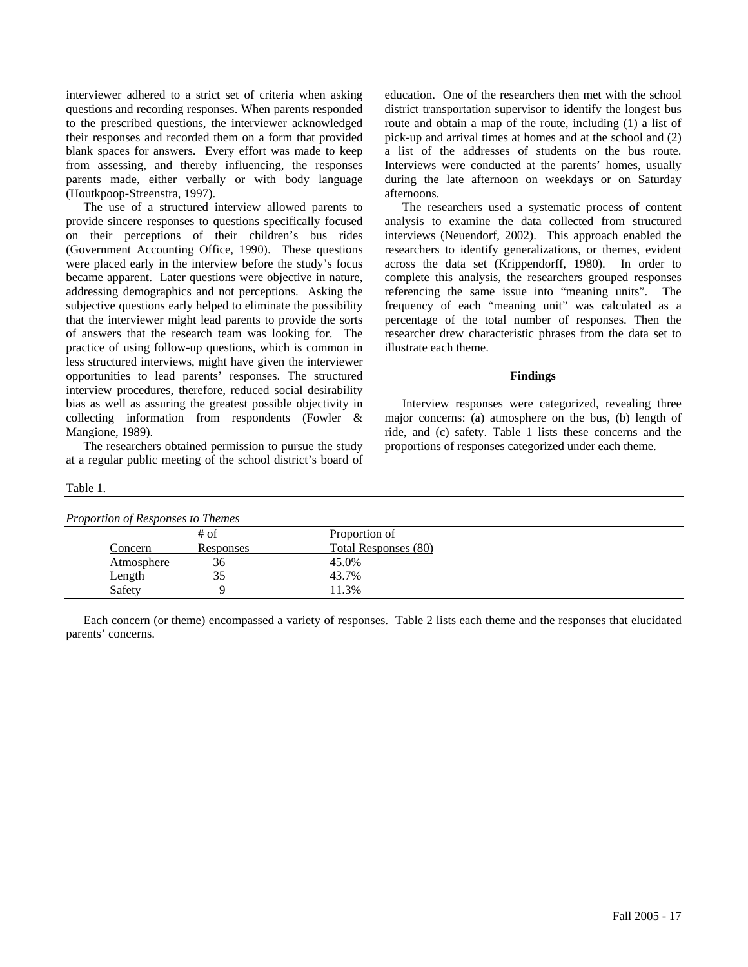interviewer adhered to a strict set of criteria when asking questions and recording responses. When parents responded to the prescribed questions, the interviewer acknowledged their responses and recorded them on a form that provided blank spaces for answers. Every effort was made to keep from assessing, and thereby influencing, the responses parents made, either verbally or with body language (Houtkpoop-Streenstra, 1997).

The use of a structured interview allowed parents to provide sincere responses to questions specifically focused on their perceptions of their children's bus rides (Government Accounting Office, 1990). These questions were placed early in the interview before the study's focus became apparent. Later questions were objective in nature, addressing demographics and not perceptions. Asking the subjective questions early helped to eliminate the possibility that the interviewer might lead parents to provide the sorts of answers that the research team was looking for. The practice of using follow-up questions, which is common in less structured interviews, might have given the interviewer opportunities to lead parents' responses. The structured interview procedures, therefore, reduced social desirability bias as well as assuring the greatest possible objectivity in collecting information from respondents (Fowler & Mangione, 1989).

The researchers obtained permission to pursue the study at a regular public meeting of the school district's board of

Table 1.

education. One of the researchers then met with the school district transportation supervisor to identify the longest bus route and obtain a map of the route, including (1) a list of pick-up and arrival times at homes and at the school and (2) a list of the addresses of students on the bus route. Interviews were conducted at the parents' homes, usually during the late afternoon on weekdays or on Saturday afternoons.

The researchers used a systematic process of content analysis to examine the data collected from structured interviews (Neuendorf, 2002). This approach enabled the researchers to identify generalizations, or themes, evident across the data set (Krippendorff, 1980). In order to complete this analysis, the researchers grouped responses referencing the same issue into "meaning units". The frequency of each "meaning unit" was calculated as a percentage of the total number of responses. Then the researcher drew characteristic phrases from the data set to illustrate each theme.

#### **Findings**

Interview responses were categorized, revealing three major concerns: (a) atmosphere on the bus, (b) length of ride, and (c) safety. Table 1 lists these concerns and the proportions of responses categorized under each theme.

| Proportion of Responses to Themes |           |                             |  |  |  |  |  |
|-----------------------------------|-----------|-----------------------------|--|--|--|--|--|
|                                   | $#$ of    | Proportion of               |  |  |  |  |  |
| Concern                           | Responses | <b>Total Responses (80)</b> |  |  |  |  |  |
| Atmosphere                        | 36        | 45.0%                       |  |  |  |  |  |
| Length                            | 35        | 43.7%                       |  |  |  |  |  |
| Safety                            |           | 11.3%                       |  |  |  |  |  |

Each concern (or theme) encompassed a variety of responses. Table 2 lists each theme and the responses that elucidated parents' concerns.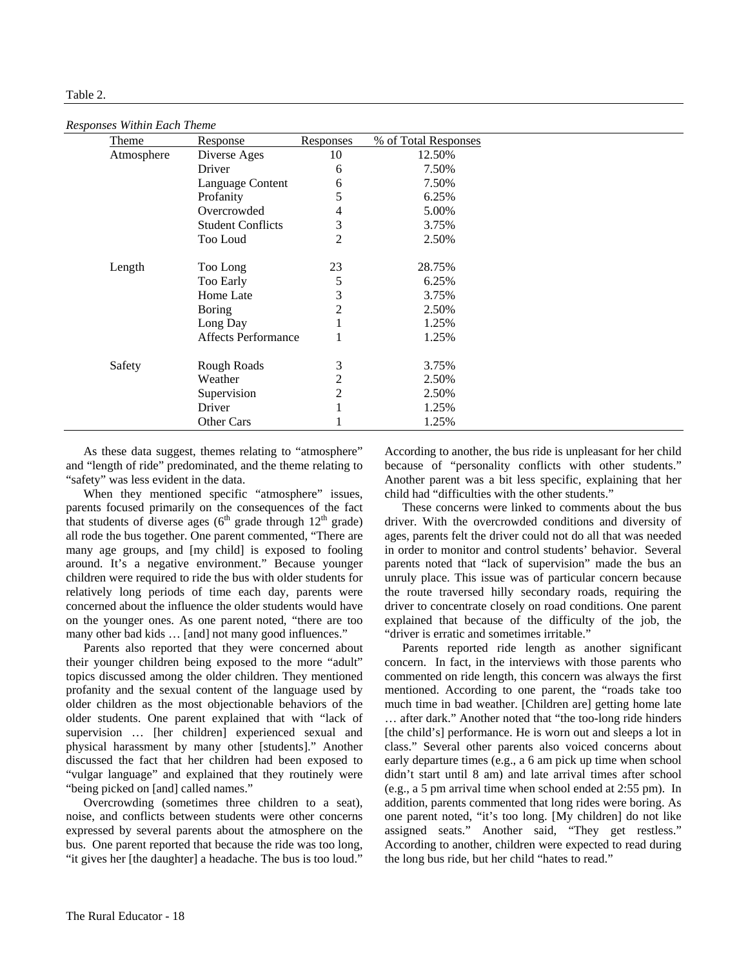#### Table 2.

*Responses Within Each Theme* 

| $\frac{1}{2}$<br>Theme | Response                   | <b>Responses</b> | % of Total Responses |
|------------------------|----------------------------|------------------|----------------------|
| Atmosphere             | Diverse Ages               | 10               | 12.50%               |
|                        | Driver                     | 6                | 7.50%                |
|                        | Language Content           | 6                | 7.50%                |
|                        | Profanity                  | 5                | 6.25%                |
|                        | Overcrowded                | 4                | 5.00%                |
|                        | <b>Student Conflicts</b>   | 3                | 3.75%                |
|                        | Too Loud                   | 2                | 2.50%                |
| Length                 | Too Long                   | 23               | 28.75%               |
|                        | Too Early                  | 5                | 6.25%                |
|                        | Home Late                  | 3                | 3.75%                |
|                        | <b>Boring</b>              | 2                | 2.50%                |
|                        | Long Day                   |                  | 1.25%                |
|                        | <b>Affects Performance</b> |                  | 1.25%                |
| Safety                 | Rough Roads                | 3                | 3.75%                |
|                        | Weather                    | 2                | 2.50%                |
|                        | Supervision                | $\overline{2}$   | 2.50%                |
|                        | Driver                     |                  | 1.25%                |
|                        | Other Cars                 |                  | 1.25%                |

As these data suggest, themes relating to "atmosphere" and "length of ride" predominated, and the theme relating to "safety" was less evident in the data.

When they mentioned specific "atmosphere" issues, parents focused primarily on the consequences of the fact that students of diverse ages ( $6<sup>th</sup>$  grade through  $12<sup>th</sup>$  grade) all rode the bus together. One parent commented, "There are many age groups, and [my child] is exposed to fooling around. It's a negative environment." Because younger children were required to ride the bus with older students for relatively long periods of time each day, parents were concerned about the influence the older students would have on the younger ones. As one parent noted, "there are too many other bad kids ... [and] not many good influences."

Parents also reported that they were concerned about their younger children being exposed to the more "adult" topics discussed among the older children. They mentioned profanity and the sexual content of the language used by older children as the most objectionable behaviors of the older students. One parent explained that with "lack of supervision … [her children] experienced sexual and physical harassment by many other [students]." Another discussed the fact that her children had been exposed to "vulgar language" and explained that they routinely were "being picked on [and] called names."

Overcrowding (sometimes three children to a seat), noise, and conflicts between students were other concerns expressed by several parents about the atmosphere on the bus. One parent reported that because the ride was too long, "it gives her [the daughter] a headache. The bus is too loud."

According to another, the bus ride is unpleasant for her child because of "personality conflicts with other students." Another parent was a bit less specific, explaining that her child had "difficulties with the other students."

These concerns were linked to comments about the bus driver. With the overcrowded conditions and diversity of ages, parents felt the driver could not do all that was needed in order to monitor and control students' behavior. Several parents noted that "lack of supervision" made the bus an unruly place. This issue was of particular concern because the route traversed hilly secondary roads, requiring the driver to concentrate closely on road conditions. One parent explained that because of the difficulty of the job, the "driver is erratic and sometimes irritable."

Parents reported ride length as another significant concern. In fact, in the interviews with those parents who commented on ride length, this concern was always the first mentioned. According to one parent, the "roads take too much time in bad weather. [Children are] getting home late … after dark." Another noted that "the too-long ride hinders [the child's] performance. He is worn out and sleeps a lot in class." Several other parents also voiced concerns about early departure times (e.g., a 6 am pick up time when school didn't start until 8 am) and late arrival times after school (e.g., a 5 pm arrival time when school ended at 2:55 pm). In addition, parents commented that long rides were boring. As one parent noted, "it's too long. [My children] do not like assigned seats." Another said, "They get restless." According to another, children were expected to read during the long bus ride, but her child "hates to read."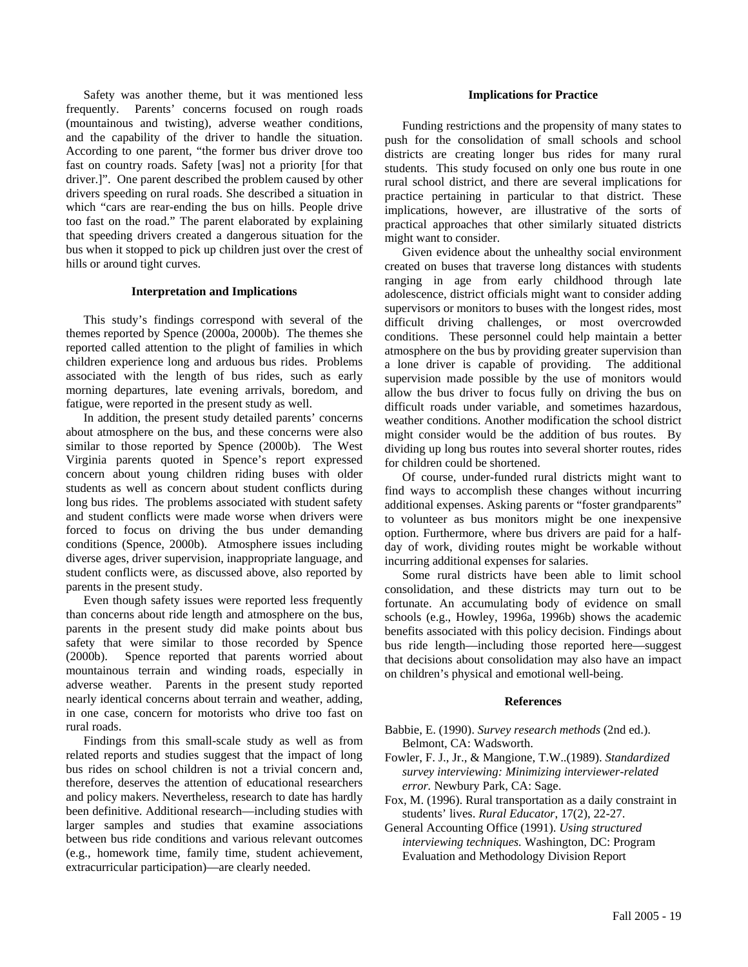Safety was another theme, but it was mentioned less frequently. Parents' concerns focused on rough roads (mountainous and twisting), adverse weather conditions, and the capability of the driver to handle the situation. According to one parent, "the former bus driver drove too fast on country roads. Safety [was] not a priority [for that driver.]". One parent described the problem caused by other drivers speeding on rural roads. She described a situation in which "cars are rear-ending the bus on hills. People drive too fast on the road." The parent elaborated by explaining that speeding drivers created a dangerous situation for the bus when it stopped to pick up children just over the crest of hills or around tight curves.

#### **Interpretation and Implications**

This study's findings correspond with several of the themes reported by Spence (2000a, 2000b). The themes she reported called attention to the plight of families in which children experience long and arduous bus rides. Problems associated with the length of bus rides, such as early morning departures, late evening arrivals, boredom, and fatigue, were reported in the present study as well.

In addition, the present study detailed parents' concerns about atmosphere on the bus, and these concerns were also similar to those reported by Spence (2000b). The West Virginia parents quoted in Spence's report expressed concern about young children riding buses with older students as well as concern about student conflicts during long bus rides. The problems associated with student safety and student conflicts were made worse when drivers were forced to focus on driving the bus under demanding conditions (Spence, 2000b). Atmosphere issues including diverse ages, driver supervision, inappropriate language, and student conflicts were, as discussed above, also reported by parents in the present study.

Even though safety issues were reported less frequently than concerns about ride length and atmosphere on the bus, parents in the present study did make points about bus safety that were similar to those recorded by Spence (2000b). Spence reported that parents worried about mountainous terrain and winding roads, especially in adverse weather. Parents in the present study reported nearly identical concerns about terrain and weather, adding, in one case, concern for motorists who drive too fast on rural roads.

Findings from this small-scale study as well as from related reports and studies suggest that the impact of long bus rides on school children is not a trivial concern and, therefore, deserves the attention of educational researchers and policy makers. Nevertheless, research to date has hardly been definitive. Additional research—including studies with larger samples and studies that examine associations between bus ride conditions and various relevant outcomes (e.g., homework time, family time, student achievement, extracurricular participation)—are clearly needed.

#### **Implications for Practice**

Funding restrictions and the propensity of many states to push for the consolidation of small schools and school districts are creating longer bus rides for many rural students. This study focused on only one bus route in one rural school district, and there are several implications for practice pertaining in particular to that district. These implications, however, are illustrative of the sorts of practical approaches that other similarly situated districts might want to consider.

Given evidence about the unhealthy social environment created on buses that traverse long distances with students ranging in age from early childhood through late adolescence, district officials might want to consider adding supervisors or monitors to buses with the longest rides, most difficult driving challenges, or most overcrowded conditions. These personnel could help maintain a better atmosphere on the bus by providing greater supervision than a lone driver is capable of providing. The additional supervision made possible by the use of monitors would allow the bus driver to focus fully on driving the bus on difficult roads under variable, and sometimes hazardous, weather conditions. Another modification the school district might consider would be the addition of bus routes. By dividing up long bus routes into several shorter routes, rides for children could be shortened.

Of course, under-funded rural districts might want to find ways to accomplish these changes without incurring additional expenses. Asking parents or "foster grandparents" to volunteer as bus monitors might be one inexpensive option. Furthermore, where bus drivers are paid for a halfday of work, dividing routes might be workable without incurring additional expenses for salaries.

Some rural districts have been able to limit school consolidation, and these districts may turn out to be fortunate. An accumulating body of evidence on small schools (e.g., Howley, 1996a, 1996b) shows the academic benefits associated with this policy decision. Findings about bus ride length—including those reported here—suggest that decisions about consolidation may also have an impact on children's physical and emotional well-being.

#### **References**

- Babbie, E. (1990). *Survey research methods* (2nd ed.). Belmont, CA: Wadsworth.
- Fowler, F. J., Jr., & Mangione, T.W..(1989). *Standardized survey interviewing: Minimizing interviewer-related error.* Newbury Park, CA: Sage.
- Fox, M. (1996). Rural transportation as a daily constraint in students' lives. *Rural Educator*, 17(2), 22-27.
- General Accounting Office (1991). *Using structured interviewing techniques.* Washington, DC: Program Evaluation and Methodology Division Report